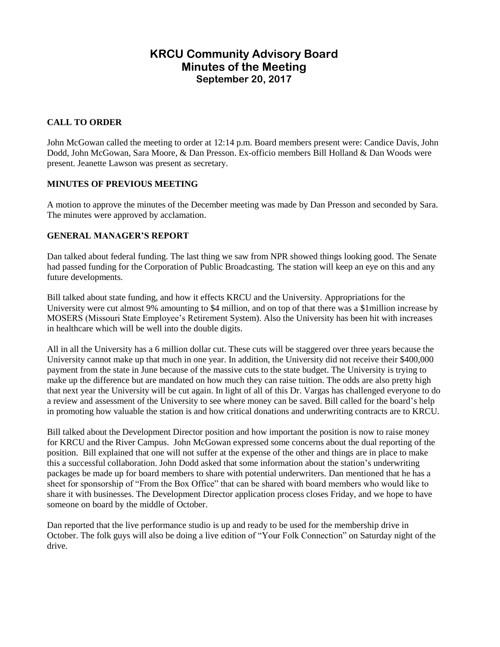# **KRCU Community Advisory Board Minutes of the Meeting September 20, 2017**

# **CALL TO ORDER**

John McGowan called the meeting to order at 12:14 p.m. Board members present were: Candice Davis, John Dodd, John McGowan, Sara Moore, & Dan Presson. Ex-officio members Bill Holland & Dan Woods were present. Jeanette Lawson was present as secretary.

# **MINUTES OF PREVIOUS MEETING**

A motion to approve the minutes of the December meeting was made by Dan Presson and seconded by Sara. The minutes were approved by acclamation.

# **GENERAL MANAGER'S REPORT**

Dan talked about federal funding. The last thing we saw from NPR showed things looking good. The Senate had passed funding for the Corporation of Public Broadcasting. The station will keep an eye on this and any future developments.

Bill talked about state funding, and how it effects KRCU and the University. Appropriations for the University were cut almost 9% amounting to \$4 million, and on top of that there was a \$1million increase by MOSERS (Missouri State Employee's Retirement System). Also the University has been hit with increases in healthcare which will be well into the double digits.

All in all the University has a 6 million dollar cut. These cuts will be staggered over three years because the University cannot make up that much in one year. In addition, the University did not receive their \$400,000 payment from the state in June because of the massive cuts to the state budget. The University is trying to make up the difference but are mandated on how much they can raise tuition. The odds are also pretty high that next year the University will be cut again. In light of all of this Dr. Vargas has challenged everyone to do a review and assessment of the University to see where money can be saved. Bill called for the board's help in promoting how valuable the station is and how critical donations and underwriting contracts are to KRCU.

Bill talked about the Development Director position and how important the position is now to raise money for KRCU and the River Campus. John McGowan expressed some concerns about the dual reporting of the position. Bill explained that one will not suffer at the expense of the other and things are in place to make this a successful collaboration. John Dodd asked that some information about the station's underwriting packages be made up for board members to share with potential underwriters. Dan mentioned that he has a sheet for sponsorship of "From the Box Office" that can be shared with board members who would like to share it with businesses. The Development Director application process closes Friday, and we hope to have someone on board by the middle of October.

Dan reported that the live performance studio is up and ready to be used for the membership drive in October. The folk guys will also be doing a live edition of "Your Folk Connection" on Saturday night of the drive.